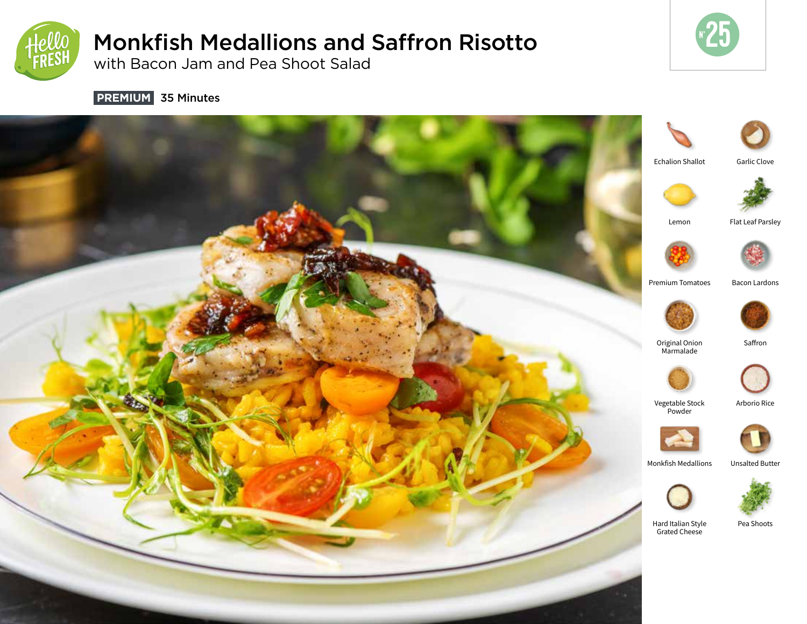

# Monkfish Medallions and Saffron Risotto

with Bacon Jam and Pea Shoot Salad



 **PREMIUM** 35 Minutes